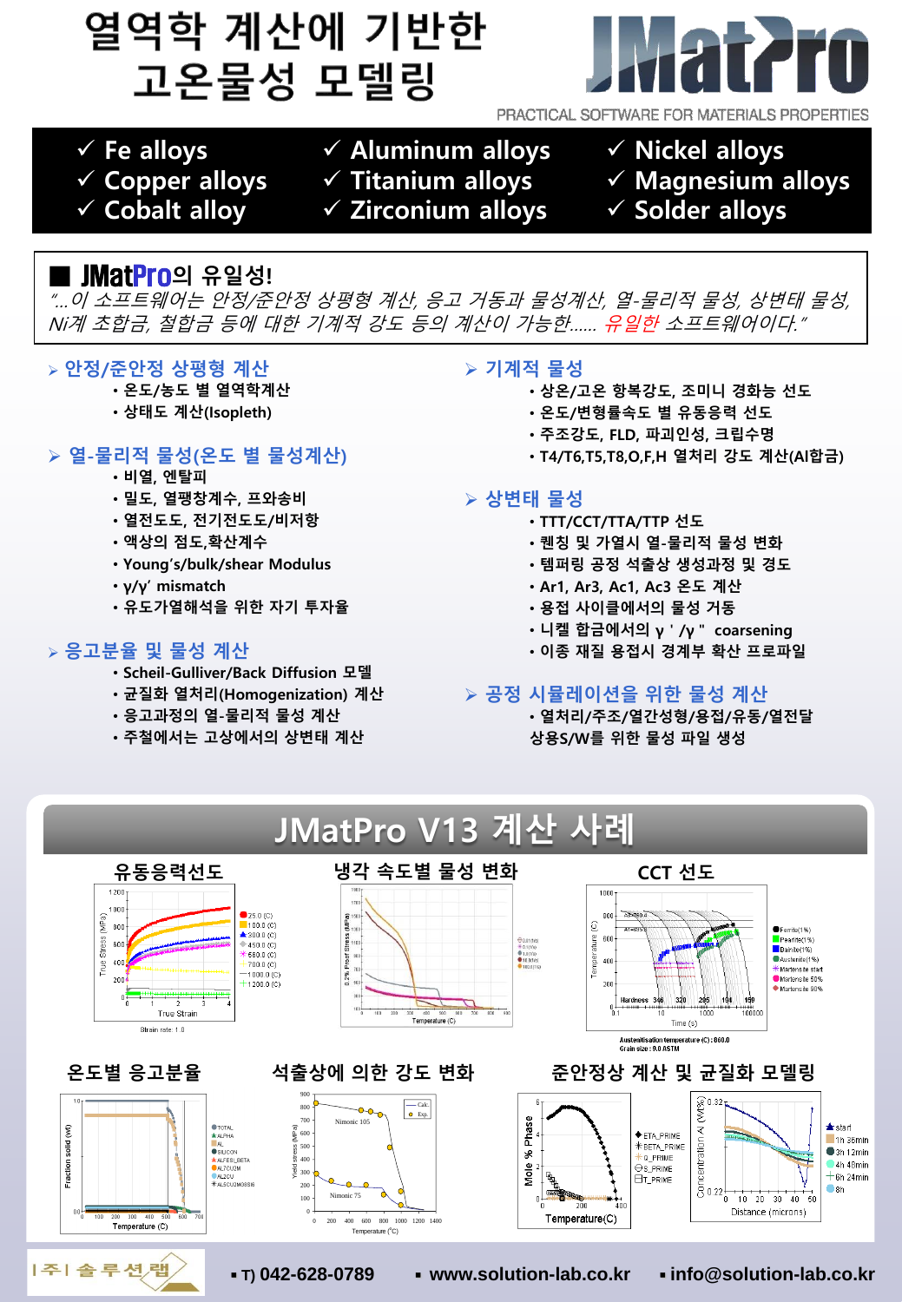# 열역학 계산에 기반한 고온물성 모델링



PRACTICAL SOFTWARE FOR MATERIALS PROPERTIES

- ✓ **Fe alloys**
- ✓ **Copper alloys**
- ✓ **Cobalt alloy**
- ✓ **Aluminum alloys** ✓ **Titanium alloys**
	- ✓ **Zirconium alloys**
- ✓ **Nickel alloys**
- ✓ **Magnesium alloys**
- ✓ **Solder alloys**

# **■** JMatPro**의 유일성!**

"…이 소프트웨어는 안정/준안정 상평형 계산, 응고 거동과 물성계산, 열-물리적 물성, 상변태 물성, Ni계 초합금, 철합금 등에 대한 기계적 강도 등의 계산이 가능한…… 유일한 소프트웨어이다."

## ➢ **안정/준안정 상평형 계산**

- **온도/농도 별 열역학계산**
- **상태도 계산(Isopleth)**

# ➢ **열-물리적 물성(온도 별 물성계산)**

- **비열, 엔탈피**
- **밀도, 열팽창계수, 프와송비**
- **열전도도, 전기전도도/비저항**
- **액상의 점도,확산계수**
- **Young's/bulk/shear Modulus**
- **γ/γ' mismatch**
- **유도가열해석을 위한 자기 투자율**

#### ➢ **응고분율 및 물성 계산**

- **Scheil-Gulliver/Back Diffusion 모델**
- **균질화 열처리(Homogenization) 계산**
- **응고과정의 열-물리적 물성 계산**
- **주철에서는 고상에서의 상변태 계산**

# ➢ **기계적 물성**

- **상온/고온 항복강도, 조미니 경화능 선도**
- **온도/변형률속도 별 유동응력 선도**
- **주조강도, FLD, 파괴인성, 크립수명**
- **T4/T6,T5,T8,O,F,H 열처리 강도 계산(Al합금)**

## ➢ **상변태 물성**

- **TTT/CCT/TTA/TTP 선도**
- **퀜칭 및 가열시 열-물리적 물성 변화**
- **템퍼링 공정 석출상 생성과정 및 경도**
- **Ar1, Ar3, Ac1, Ac3 온도 계산**
- **용접 사이클에서의 물성 거동**
- **니켈 합금에서의 γ'/γ" coarsening**
- **이종 재질 용접시 경계부 확산 프로파일**

## ➢ **공정 시뮬레이션을 위한 물성 계산**

• **열처리/주조/열간성형/용접/유동/열전달 상용S/W를 위한 물성 파일 생성**





**온도별 응고분율**



|주| 솔루션/랩



**석출상에 의한 강도 변화**





# **준안정상 계산 및 균질화 모델링**



▪ **T) 042-628-0789** ▪ **www.solution-lab.co.kr** ▪ **info@solution-lab.co.kr**